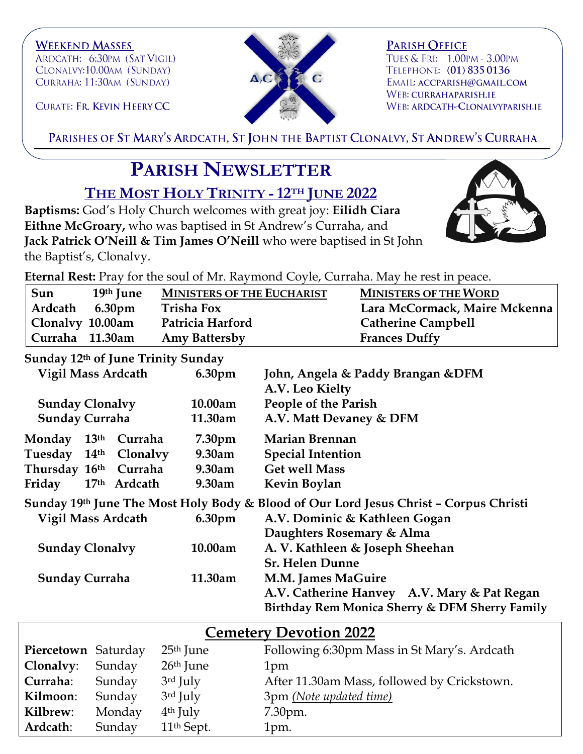**WEEKEND MASSES** ARDCATH: 6:30PM (SAT VIGIL) CLONALVY:10.00AM (SUNDAY) CURRAHA: 11:30AM (SUNDAY)

 $\mathbf{A}_i\mathbf{C}$ 

**PARISH OFFICE** TUES & FRI: 1.00PM - 3.00PM TELEPHONE: (01) 835 0136 EMAIL: ACCPARISH@GMAIL.COM WEB: CURRAHAPARISH.IE WEB: ARDCATH-CLONALVYPARISH.IE

CURATE: FR. KEVIN HEERY CC

PARISHES OF ST MARY'S ARDCATH, ST JOHN THE BAPTIST CLONALVY, ST ANDREW'S CURRAHA

## **PARISH NEWSLETTER**

**THE MOST HOLY TRINITY -12TH JUNE 2022**

**Baptisms:** God's Holy Church welcomes with great joy: **Eilidh Ciara Eithne McGroary,** who was baptised in St Andrew's Curraha, and **Jack Patrick O'Neill & Tim James O'Neill** who were baptised in St John the Baptist's, Clonalvy.



**Eternal Rest:** Pray for the soul of Mr. Raymond Coyle, Curraha. May he rest in peace.

| Sun              | 19th June | <b>MINISTERS OF THE EUCHARIST</b> | <b>MINISTERS OF THE WORD</b>  |
|------------------|-----------|-----------------------------------|-------------------------------|
| Ardcath 6.30pm   |           | <b>Trisha Fox</b>                 | Lara McCormack, Maire Mckenna |
| Clonalvy 10.00am |           | Patricia Harford                  | <b>Catherine Campbell</b>     |
| Curraha 11.30am  |           | <b>Amy Battersby</b>              | <b>Frances Duffy</b>          |

**Sunday 12th of June Trinity Sunday**

| Vigil Mass Ardcath        |  | 6.30pm                | John, Angela & Paddy Brangan & DFM<br>A.V. Leo Kielty |                                                                                       |
|---------------------------|--|-----------------------|-------------------------------------------------------|---------------------------------------------------------------------------------------|
| <b>Sunday Clonalvy</b>    |  | 10.00am               | People of the Parish                                  |                                                                                       |
| <b>Sunday Curraha</b>     |  | 11.30am               | A.V. Matt Devaney & DFM                               |                                                                                       |
| Monday 13th               |  | Curraha               | 7.30 <sub>pm</sub>                                    | <b>Marian Brennan</b>                                                                 |
|                           |  | Tuesday 14th Clonalvy | 9.30am                                                | <b>Special Intention</b>                                                              |
| Thursday 16th Curraha     |  |                       | 9.30am                                                | <b>Get well Mass</b>                                                                  |
| Friday                    |  | 17th Ardcath          | 9.30am                                                | <b>Kevin Boylan</b>                                                                   |
|                           |  |                       |                                                       | Sunday 19th June The Most Holy Body & Blood of Our Lord Jesus Christ - Corpus Christi |
| <b>Vigil Mass Ardcath</b> |  | 6.30 <sub>pm</sub>    | A.V. Dominic & Kathleen Gogan                         |                                                                                       |
|                           |  |                       |                                                       | Daughters Rosemary & Alma                                                             |
| <b>Sunday Clonalvy</b>    |  | 10.00am               | A. V. Kathleen & Joseph Sheehan                       |                                                                                       |
|                           |  |                       |                                                       | <b>Sr. Helen Dunne</b>                                                                |
| <b>Sunday Curraha</b>     |  | 11.30am               | <b>M.M. James MaGuire</b>                             |                                                                                       |
|                           |  |                       |                                                       | A.V. Catherine Hanvey A.V. Mary & Pat Regan                                           |
|                           |  |                       |                                                       | Birthday Rem Monica Sherry & DFM Sherry Family                                        |
|                           |  |                       |                                                       |                                                                                       |

| <b>Cemetery Devotion 2022</b> |        |                        |                                             |  |  |  |
|-------------------------------|--------|------------------------|---------------------------------------------|--|--|--|
| Piercetown Saturday           |        | $25th$ June            | Following 6:30pm Mass in St Mary's. Ardcath |  |  |  |
| Clonalvy:                     | Sunday | $26th$ June            | 1pm                                         |  |  |  |
| Curraha:                      | Sunday | 3rd July               | After 11.30am Mass, followed by Crickstown. |  |  |  |
| Kilmoon:                      | Sunday | $3rd$ July             | 3pm (Note updated time)                     |  |  |  |
| Kilbrew:                      | Monday | $4th$ July             | 7.30pm.                                     |  |  |  |
| Ardcath:                      | Sunday | 11 <sup>th</sup> Sept. | 1pm.                                        |  |  |  |